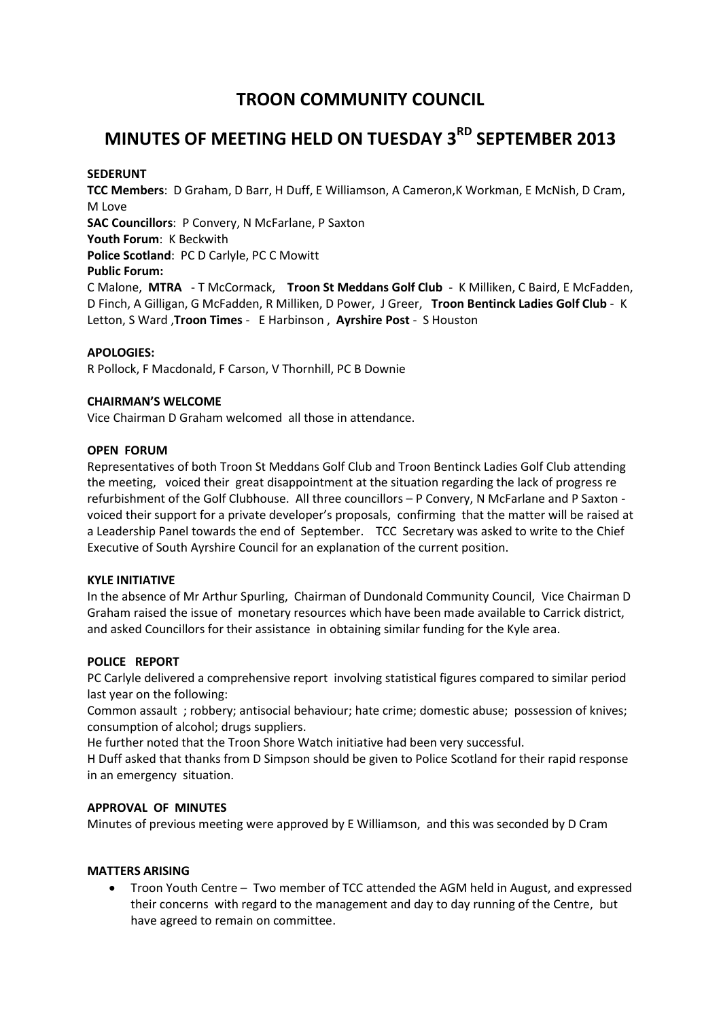## **TROON COMMUNITY COUNCIL**

# **MINUTES OF MEETING HELD ON TUESDAY 3RD SEPTEMBER 2013**

#### **SEDERUNT**

**TCC Members**: D Graham, D Barr, H Duff, E Williamson, A Cameron,K Workman, E McNish, D Cram, M Love **SAC Councillors**: P Convery, N McFarlane, P Saxton **Youth Forum**: K Beckwith **Police Scotland**: PC D Carlyle, PC C Mowitt **Public Forum:**  C Malone, **MTRA** - T McCormack, **Troon St Meddans Golf Club** - K Milliken, C Baird, E McFadden, D Finch, A Gilligan, G McFadden, R Milliken, D Power, J Greer, **Troon Bentinck Ladies Golf Club** - K

Letton, S Ward ,**Troon Times** - E Harbinson , **Ayrshire Post** - S Houston

#### **APOLOGIES:**

R Pollock, F Macdonald, F Carson, V Thornhill, PC B Downie

#### **CHAIRMAN'S WELCOME**

Vice Chairman D Graham welcomed all those in attendance.

#### **OPEN FORUM**

Representatives of both Troon St Meddans Golf Club and Troon Bentinck Ladies Golf Club attending the meeting, voiced their great disappointment at the situation regarding the lack of progress re refurbishment of the Golf Clubhouse. All three councillors – P Convery, N McFarlane and P Saxton voiced their support for a private developer's proposals, confirming that the matter will be raised at a Leadership Panel towards the end of September. TCC Secretary was asked to write to the Chief Executive of South Ayrshire Council for an explanation of the current position.

#### **KYLE INITIATIVE**

In the absence of Mr Arthur Spurling, Chairman of Dundonald Community Council, Vice Chairman D Graham raised the issue of monetary resources which have been made available to Carrick district, and asked Councillors for their assistance in obtaining similar funding for the Kyle area.

#### **POLICE REPORT**

PC Carlyle delivered a comprehensive report involving statistical figures compared to similar period last year on the following:

Common assault ; robbery; antisocial behaviour; hate crime; domestic abuse; possession of knives; consumption of alcohol; drugs suppliers.

He further noted that the Troon Shore Watch initiative had been very successful.

H Duff asked that thanks from D Simpson should be given to Police Scotland for their rapid response in an emergency situation.

#### **APPROVAL OF MINUTES**

Minutes of previous meeting were approved by E Williamson, and this was seconded by D Cram

#### **MATTERS ARISING**

 Troon Youth Centre – Two member of TCC attended the AGM held in August, and expressed their concerns with regard to the management and day to day running of the Centre, but have agreed to remain on committee.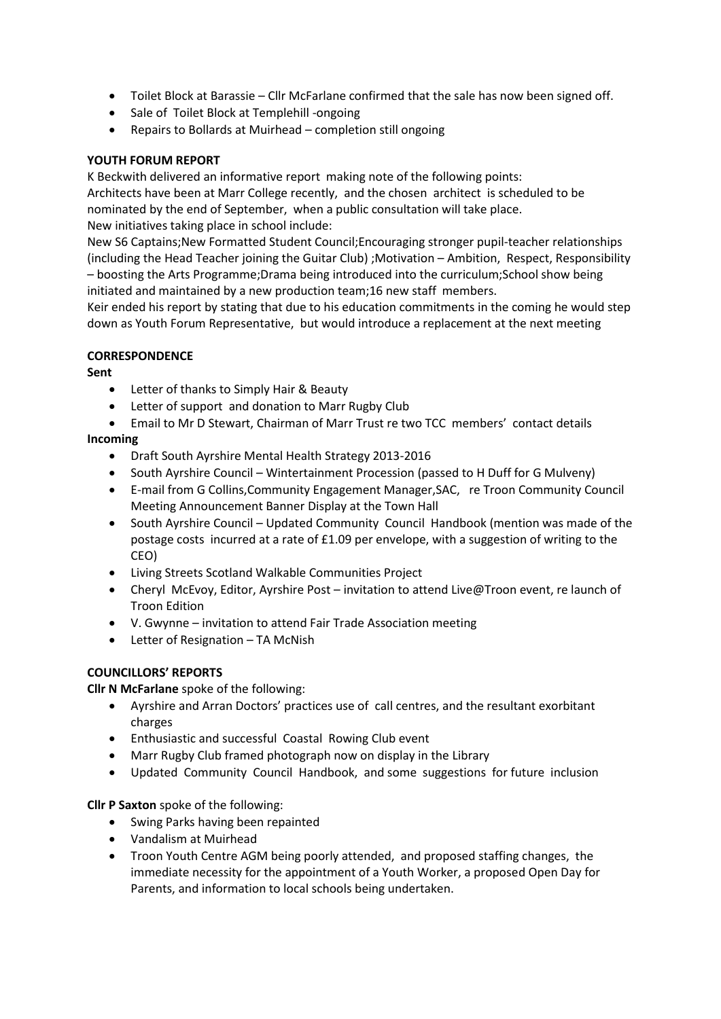- Toilet Block at Barassie Cllr McFarlane confirmed that the sale has now been signed off.
- Sale of Toilet Block at Templehill -ongoing
- Repairs to Bollards at Muirhead completion still ongoing

## **YOUTH FORUM REPORT**

K Beckwith delivered an informative report making note of the following points: Architects have been at Marr College recently, and the chosen architect is scheduled to be nominated by the end of September, when a public consultation will take place. New initiatives taking place in school include:

New S6 Captains;New Formatted Student Council;Encouraging stronger pupil-teacher relationships (including the Head Teacher joining the Guitar Club) ;Motivation – Ambition, Respect, Responsibility – boosting the Arts Programme;Drama being introduced into the curriculum;School show being initiated and maintained by a new production team;16 new staff members.

Keir ended his report by stating that due to his education commitments in the coming he would step down as Youth Forum Representative, but would introduce a replacement at the next meeting

## **CORRESPONDENCE**

**Sent**

- Letter of thanks to Simply Hair & Beauty
- Letter of support and donation to Marr Rugby Club
- Email to Mr D Stewart, Chairman of Marr Trust re two TCC members' contact details

## **Incoming**

- Draft South Ayrshire Mental Health Strategy 2013-2016
- South Ayrshire Council Wintertainment Procession (passed to H Duff for G Mulveny)
- E-mail from G Collins,Community Engagement Manager,SAC, re Troon Community Council Meeting Announcement Banner Display at the Town Hall
- South Ayrshire Council Updated Community Council Handbook (mention was made of the postage costs incurred at a rate of £1.09 per envelope, with a suggestion of writing to the CEO)
- Living Streets Scotland Walkable Communities Project
- Cheryl McEvoy, Editor, Ayrshire Post invitation to attend Live@Troon event, re launch of Troon Edition
- V. Gwynne invitation to attend Fair Trade Association meeting
- Letter of Resignation TA McNish

## **COUNCILLORS' REPORTS**

**Cllr N McFarlane** spoke of the following:

- Ayrshire and Arran Doctors' practices use of call centres, and the resultant exorbitant charges
- Enthusiastic and successful Coastal Rowing Club event
- Marr Rugby Club framed photograph now on display in the Library
- Updated Community Council Handbook, and some suggestions for future inclusion

## **Cllr P Saxton** spoke of the following:

- Swing Parks having been repainted
- Vandalism at Muirhead
- Troon Youth Centre AGM being poorly attended, and proposed staffing changes, the immediate necessity for the appointment of a Youth Worker, a proposed Open Day for Parents, and information to local schools being undertaken.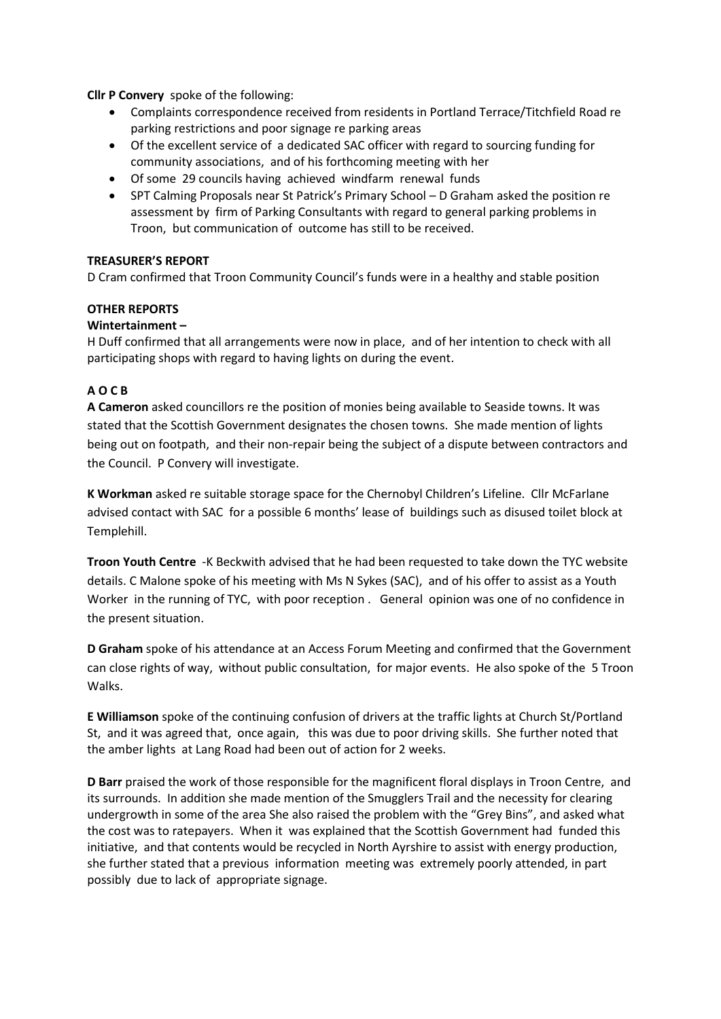**Cllr P Convery** spoke of the following:

- Complaints correspondence received from residents in Portland Terrace/Titchfield Road re parking restrictions and poor signage re parking areas
- Of the excellent service of a dedicated SAC officer with regard to sourcing funding for community associations, and of his forthcoming meeting with her
- Of some 29 councils having achieved windfarm renewal funds
- SPT Calming Proposals near St Patrick's Primary School D Graham asked the position re assessment by firm of Parking Consultants with regard to general parking problems in Troon, but communication of outcome has still to be received.

## **TREASURER'S REPORT**

D Cram confirmed that Troon Community Council's funds were in a healthy and stable position

#### **OTHER REPORTS**

#### **Wintertainment –**

H Duff confirmed that all arrangements were now in place, and of her intention to check with all participating shops with regard to having lights on during the event.

#### **A O C B**

**A Cameron** asked councillors re the position of monies being available to Seaside towns. It was stated that the Scottish Government designates the chosen towns. She made mention of lights being out on footpath, and their non-repair being the subject of a dispute between contractors and the Council. P Convery will investigate.

**K Workman** asked re suitable storage space for the Chernobyl Children's Lifeline. Cllr McFarlane advised contact with SAC for a possible 6 months' lease of buildings such as disused toilet block at Templehill.

**Troon Youth Centre** -K Beckwith advised that he had been requested to take down the TYC website details. C Malone spoke of his meeting with Ms N Sykes (SAC), and of his offer to assist as a Youth Worker in the running of TYC, with poor reception . General opinion was one of no confidence in the present situation.

**D Graham** spoke of his attendance at an Access Forum Meeting and confirmed that the Government can close rights of way, without public consultation, for major events. He also spoke of the 5 Troon Walks.

**E Williamson** spoke of the continuing confusion of drivers at the traffic lights at Church St/Portland St, and it was agreed that, once again, this was due to poor driving skills. She further noted that the amber lights at Lang Road had been out of action for 2 weeks.

**D Barr** praised the work of those responsible for the magnificent floral displays in Troon Centre, and its surrounds. In addition she made mention of the Smugglers Trail and the necessity for clearing undergrowth in some of the area She also raised the problem with the "Grey Bins", and asked what the cost was to ratepayers. When it was explained that the Scottish Government had funded this initiative, and that contents would be recycled in North Ayrshire to assist with energy production, she further stated that a previous information meeting was extremely poorly attended, in part possibly due to lack of appropriate signage.